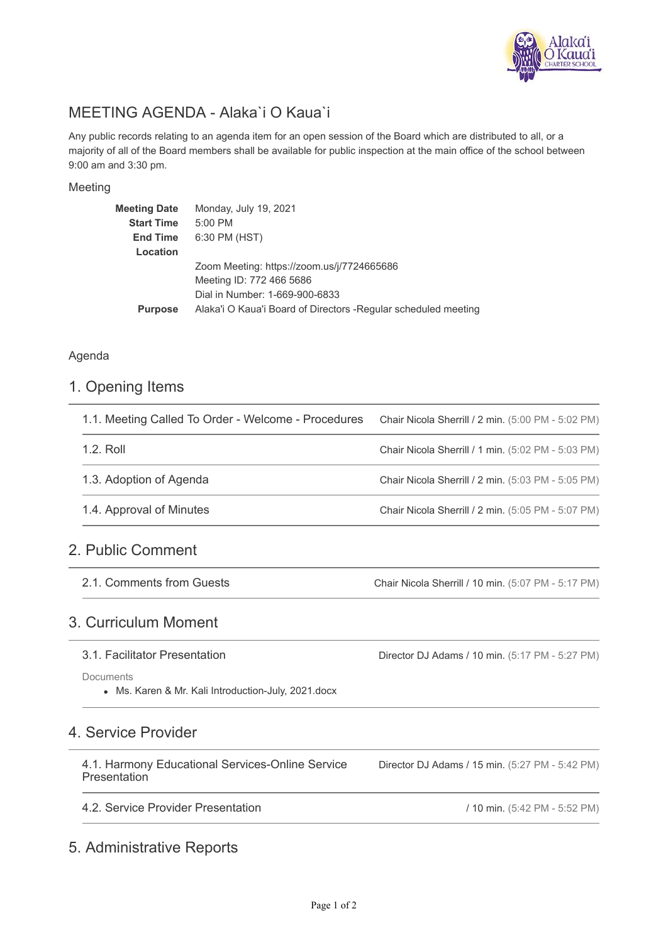

# MEETING AGENDA - Alaka`i O Kaua`i

Any public records relating to an agenda item for an open session of the Board which are distributed to all, or a majority of all of the Board members shall be available for public inspection at the main office of the school between 9:00 am and 3:30 pm.

#### Meeting

| Meeting Date      | Monday, July 19, 2021                                           |
|-------------------|-----------------------------------------------------------------|
| <b>Start Time</b> | $5:00$ PM                                                       |
| <b>End Time</b>   | 6:30 PM (HST)                                                   |
| Location          |                                                                 |
|                   | Zoom Meeting: https://zoom.us/j/7724665686                      |
|                   | Meeting ID: 772 466 5686                                        |
|                   | Dial in Number: 1-669-900-6833                                  |
| <b>Purpose</b>    | Alaka'i O Kaua'i Board of Directors - Regular scheduled meeting |
|                   |                                                                 |

#### Agenda

#### 1. Opening Items

| 1.1. Meeting Called To Order - Welcome - Procedures | Chair Nicola Sherrill / 2 min. (5:00 PM - 5:02 PM) |
|-----------------------------------------------------|----------------------------------------------------|
| 1.2. Roll                                           | Chair Nicola Sherrill / 1 min. (5:02 PM - 5:03 PM) |
| 1.3. Adoption of Agenda                             | Chair Nicola Sherrill / 2 min. (5:03 PM - 5:05 PM) |
| 1.4. Approval of Minutes                            | Chair Nicola Sherrill / 2 min. (5:05 PM - 5:07 PM) |
|                                                     |                                                    |

## 2. Public Comment

2.1. Comments from Guests

Chair Nicola Sherrill / 10 min. (5:07 PM - 5:17 PM)

## 3. Curriculum Moment

#### 3.1. Facilitator Presentation

**Documents** 

Ms. Karen & Mr. Kali Introduction-July, 2021.docx

## 4. Service Provider

4.1. Harmony Educational Services-Online Service Presentation

4.2. Service Provider Presentation

## 5. Administrative Reports

Director DJ Adams / 15 min. (5:27 PM - 5:42 PM)

/ 10 min. (5:42 PM - 5:52 PM)

Director DJ Adams / 10 min. (5:17 PM - 5:27 PM)